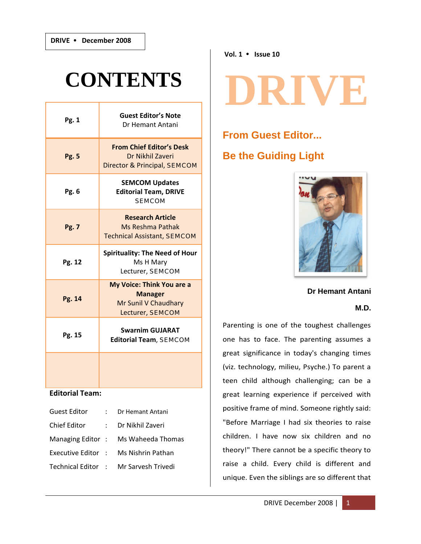# **CONTENTS**

| Pg. 1        | <b>Guest Editor's Note</b><br>Dr Hemant Antani                                                 |  |
|--------------|------------------------------------------------------------------------------------------------|--|
| <b>Pg. 5</b> | <b>From Chief Editor's Desk</b><br>Dr Nikhil Zaveri<br>Director & Principal, SEMCOM            |  |
| Pg. 6        | <b>SEMCOM Updates</b><br><b>Editorial Team, DRIVE</b><br><b>SEMCOM</b>                         |  |
| Pg. 7        | <b>Research Article</b><br>Ms Reshma Pathak<br><b>Technical Assistant, SEMCOM</b>              |  |
| Pg. 12       | <b>Spirituality: The Need of Hour</b><br>Ms H Mary<br>Lecturer, SEMCOM                         |  |
| Pg. 14       | <b>My Voice: Think You are a</b><br><b>Manager</b><br>Mr Sunil V Chaudhary<br>Lecturer, SEMCOM |  |
| Pg. 15       | <b>Swarnim GUJARAT</b><br><b>Editorial Team, SEMCOM</b>                                        |  |
|              |                                                                                                |  |

# **Editorial Team:**

| <b>Guest Editor</b> | : Dr Hemant Antani                    |
|---------------------|---------------------------------------|
| <b>Chief Editor</b> | : Dr Nikhil Zaveri                    |
|                     | Managing Editor: Ms Waheeda Thomas    |
|                     | Executive Editor : Ms Nishrin Pathan  |
|                     | Technical Editor : Mr Sarvesh Trivedi |

**Vol. 1** y **Issue 10**

# DRIVE

# **From Guest Editor... Be the Guiding Light**



**Dr Hemant Antani** 

# **M.D.**

Parenting is one of the toughest challenges one has to face. The parenting assumes a great significance in today's changing times (viz. technology, milieu, Psyche.) To parent a teen child although challenging; can be a great learning experience if perceived with positive frame of mind. Someone rightly said: "Before Marriage I had six theories to raise children. I have now six children and no theory!" There cannot be a specific theory to raise a child. Every child is different and unique. Even the siblings are so different that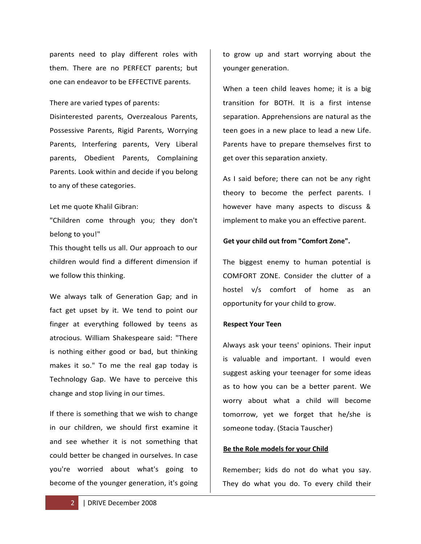parents need to play different roles with them. There are no PERFECT parents; but one can endeavor to be EFFECTIVE parents.

There are varied types of parents:

Disinterested parents, Overzealous Parents, Possessive Parents, Rigid Parents, Worrying Parents, Interfering parents, Very Liberal parents, Obedient Parents, Complaining Parents. Look within and decide if you belong to any of these categories.

Let me quote Khalil Gibran:

"Children come through you; they don't belong to you!"

This thought tells us all. Our approach to our children would find a different dimension if we follow this thinking.

We always talk of Generation Gap; and in fact get upset by it. We tend to point our finger at everything followed by teens as atrocious. William Shakespeare said: "There is nothing either good or bad, but thinking makes it so." To me the real gap today is Technology Gap. We have to perceive this change and stop living in our times.

If there is something that we wish to change in our children, we should first examine it and see whether it is not something that could better be changed in ourselves. In case you're worried about what's going to become of the younger generation, it's going

to grow up and start worrying about the younger generation.

When a teen child leaves home; it is a big transition for BOTH. It is a first intense separation. Apprehensions are natural as the teen goes in a new place to lead a new Life. Parents have to prepare themselves first to get over this separation anxiety.

As I said before; there can not be any right theory to become the perfect parents. I however have many aspects to discuss & implement to make you an effective parent.

### **Get your child out from "Comfort Zone".**

The biggest enemy to human potential is COMFORT ZONE. Consider the clutter of a hostel v/s comfort of home as an opportunity for your child to grow.

### **Respect Your Teen**

Always ask your teens' opinions. Their input is valuable and important. I would even suggest asking your teenager for some ideas as to how you can be a better parent. We worry about what a child will become tomorrow, yet we forget that he/she is someone today. (Stacia Tauscher)

### **Be the Role models for your Child**

Remember; kids do not do what you say. They do what you do. To every child their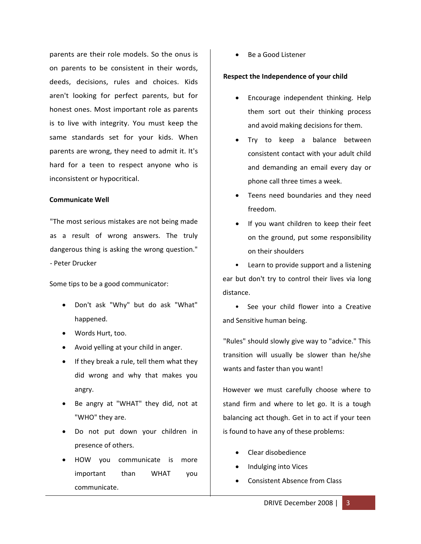parents are their role models. So the onus is on parents to be consistent in their words, deeds, decisions, rules and choices. Kids aren't looking for perfect parents, but for honest ones. Most important role as parents is to live with integrity. You must keep the same standards set for your kids. When parents are wrong, they need to admit it. It's hard for a teen to respect anyone who is inconsistent or hypocritical.

### **Communicate Well**

"The most serious mistakes are not being made as a result of wrong answers. The truly dangerous thing is asking the wrong question." ‐ Peter Drucker

Some tips to be a good communicator:

- Don't ask "Why" but do ask "What" happened.
- Words Hurt, too.
- Avoid yelling at your child in anger.
- If they break a rule, tell them what they did wrong and why that makes you angry.
- Be angry at "WHAT" they did, not at "WHO" they are.
- Do not put down your children in presence of others.
- HOW you communicate is more important than WHAT you communicate.

• Be a Good Listener

### **Respect the Independence of your child**

- Encourage independent thinking. Help them sort out their thinking process and avoid making decisions for them.
- Try to keep a balance between consistent contact with your adult child and demanding an email every day or phone call three times a week.
- Teens need boundaries and they need freedom.
- If you want children to keep their feet on the ground, put some responsibility on their shoulders

• Learn to provide support and a listening ear but don't try to control their lives via long distance.

• See your child flower into a Creative and Sensitive human being.

"Rules" should slowly give way to "advice." This transition will usually be slower than he/she wants and faster than you want!

However we must carefully choose where to stand firm and where to let go. It is a tough balancing act though. Get in to act if your teen is found to have any of these problems:

- Clear disobedience
- Indulging into Vices
- Consistent Absence from Class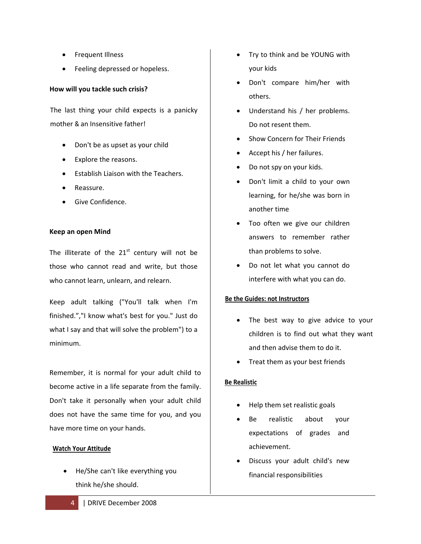- Frequent Illness
- Feeling depressed or hopeless.

# **How will you tackle such crisis?**

The last thing your child expects is a panicky mother & an Insensitive father!

- Don't be as upset as your child
- Explore the reasons.
- Establish Liaison with the Teachers.
- Reassure.
- Give Confidence.

# **Keep an open Mind**

The illiterate of the  $21<sup>st</sup>$  century will not be those who cannot read and write, but those who cannot learn, unlearn, and relearn.

Keep adult talking ("You'll talk when I'm finished.","I know what's best for you." Just do what I say and that will solve the problem") to a minimum.

Remember, it is normal for your adult child to become active in a life separate from the family. Don't take it personally when your adult child does not have the same time for you, and you have more time on your hands.

# **Watch Your Attitude**

• He/She can't like everything you think he/she should.

- Try to think and be YOUNG with your kids
- Don't compare him/her with others.
- Understand his / her problems. Do not resent them.
- Show Concern for Their Friends
- Accept his / her failures.
- Do not spy on your kids.
- Don't limit a child to your own learning, for he/she was born in another time
- Too often we give our children answers to remember rather than problems to solve.
- Do not let what you cannot do interfere with what you can do.

# **Be the Guides: not Instructors**

- The best way to give advice to your children is to find out what they want and then advise them to do it.
- Treat them as your best friends

# **Be Realistic**

- Help them set realistic goals
- Be realistic about your expectations of grades and achievement.
- Discuss your adult child's new financial responsibilities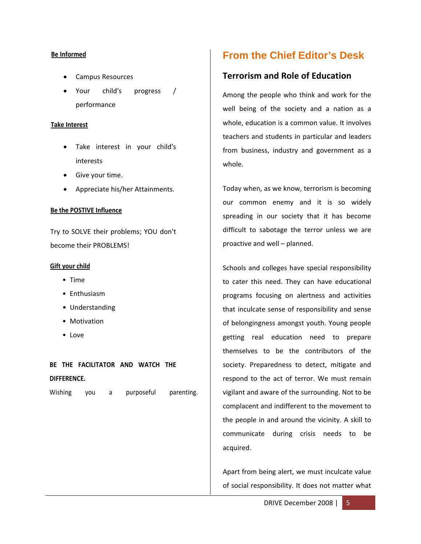### **Be Informed**

- Campus Resources
- Your child's progress / performance

# **Take Interest**

- Take interest in your child's interests
- Give your time.
- Appreciate his/her Attainments.

# **Be the POSTIVE Influence**

Try to SOLVE their problems; YOU don't become their PROBLEMS!

# **Gift your child**

- Time
- Enthusiasm
- Understanding
- Motivation
- Love

**BE THE FACILITATOR AND WATCH THE DIFFERENCE.** 

Wishing you a purposeful parenting.

# **From the Chief Editor's Desk**

# **Terrorism and Role of Education**

Among the people who think and work for the well being of the society and a nation as a whole, education is a common value. It involves teachers and students in particular and leaders from business, industry and government as a whole.

Today when, as we know, terrorism is becoming our common enemy and it is so widely spreading in our society that it has become difficult to sabotage the terror unless we are proactive and well – planned.

Schools and colleges have special responsibility to cater this need. They can have educational programs focusing on alertness and activities that inculcate sense of responsibility and sense of belongingness amongst youth. Young people getting real education need to prepare themselves to be the contributors of the society. Preparedness to detect, mitigate and respond to the act of terror. We must remain vigilant and aware of the surrounding. Not to be complacent and indifferent to the movement to the people in and around the vicinity. A skill to communicate during crisis needs to be acquired.

Apart from being alert, we must inculcate value of social responsibility. It does not matter what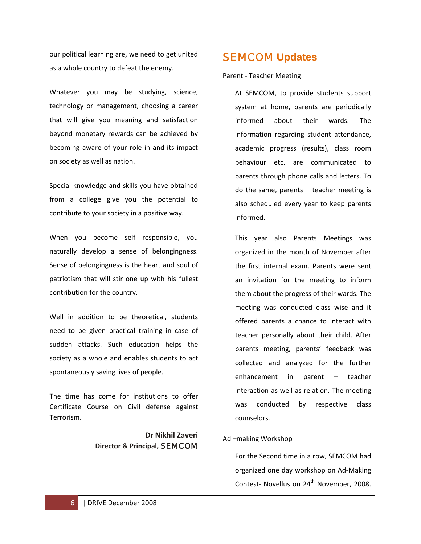our political learning are, we need to get united as a whole country to defeat the enemy.

Whatever you may be studying, science, technology or management, choosing a career that will give you meaning and satisfaction beyond monetary rewards can be achieved by becoming aware of your role in and its impact on society as well as nation.

Special knowledge and skills you have obtained from a college give you the potential to contribute to your society in a positive way.

When you become self responsible, you naturally develop a sense of belongingness. Sense of belongingness is the heart and soul of patriotism that will stir one up with his fullest contribution for the country.

Well in addition to be theoretical, students need to be given practical training in case of sudden attacks. Such education helps the society as a whole and enables students to act spontaneously saving lives of people.

The time has come for institutions to offer Certificate Course on Civil defense against Terrorism.

> **Dr Nikhil Zaveri Director & Principal,** SEMCOM

# SEMCOM **Updates**

Parent ‐ Teacher Meeting

At SEMCOM, to provide students support system at home, parents are periodically informed about their wards. The information regarding student attendance, academic progress (results), class room behaviour etc. are communicated to parents through phone calls and letters. To do the same, parents – teacher meeting is also scheduled every year to keep parents informed.

This year also Parents Meetings was organized in the month of November after the first internal exam. Parents were sent an invitation for the meeting to inform them about the progress of their wards. The meeting was conducted class wise and it offered parents a chance to interact with teacher personally about their child. After parents meeting, parents' feedback was collected and analyzed for the further enhancement in parent – teacher interaction as well as relation. The meeting was conducted by respective class counselors.

# Ad –making Workshop

For the Second time in a row, SEMCOM had organized one day workshop on Ad‐Making Contest- Novellus on 24<sup>th</sup> November, 2008.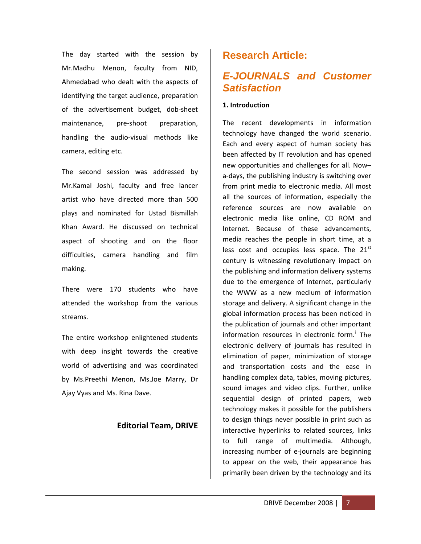The day started with the session by Mr.Madhu Menon, faculty from NID, Ahmedabad who dealt with the aspects of identifying the target audience, preparation of the advertisement budget, dob-sheet maintenance, pre-shoot preparation, handling the audio‐visual methods like camera, editing etc.

The second session was addressed by Mr.Kamal Joshi, faculty and free lancer artist who have directed more than 500 plays and nominated for Ustad Bismillah Khan Award. He discussed on technical aspect of shooting and on the floor difficulties, camera handling and film making.

There were 170 students who have attended the workshop from the various streams.

The entire workshop enlightened students with deep insight towards the creative world of advertising and was coordinated by Ms.Preethi Menon, Ms.Joe Marry, Dr Ajay Vyas and Ms. Rina Dave.

# **Editorial Team, DRIVE**

# **Research Article:**

# *E-JOURNALS and Customer Satisfaction*

# **1. Introduction**

The recent developments in information technology have changed the world scenario. Each and every aspect of human society has been affected by IT revolution and has opened new opportunities and challenges for all. Now– a‐days, the publishing industry is switching over from print media to electronic media. All most all the sources of information, especially the reference sources are now available on electronic media like online, CD ROM and Internet. Because of these advancements, media reaches the people in short time, at a less cost and occupies less space. The  $21<sup>st</sup>$ century is witnessing revolutionary impact on the publishing and information delivery systems due to the emergence of Internet, particularly the WWW as a new medium of information storage and delivery. A significant change in the global information process has been noticed in the publication of journals and other important [i](#page-15-0)nformation resources in electronic form.<sup>1</sup> The electronic delivery of journals has resulted in elimination of paper, minimization of storage and transportation costs and the ease in handling complex data, tables, moving pictures, sound images and video clips. Further, unlike sequential design of printed papers, web technology makes it possible for the publishers to design things never possible in print such as interactive hyperlinks to related sources, links to full range of multimedia. Although, increasing number of e‐journals are beginning to appear on the web, their appearance has primarily been driven by the technology and its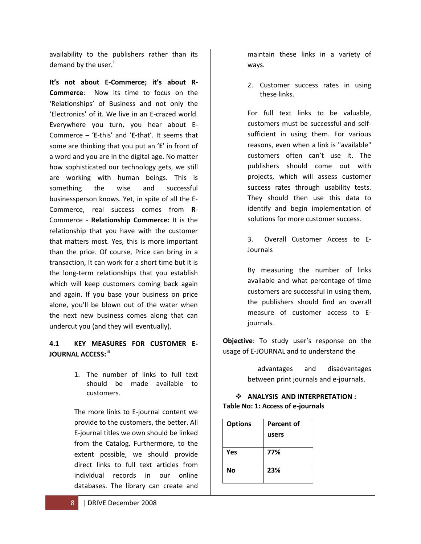availability to the publishers rather than its demand by the user.<sup>[ii](#page-15-1)</sup>

**It's not about E‐Commerce; it's about R‐ Commerce:** Now its time to focus on the 'Relationships' of Business and not only the 'Electronics' of it. We live in an E‐crazed world. Everywhere you turn, you hear about E‐ Commerce – '**E**‐this' and '**E**‐that'. It seems that some are thinking that you put an '**E**' in front of a word and you are in the digital age. No matter how sophisticated our technology gets, we still are working with human beings. This is something the wise and successful businessperson knows. Yet, in spite of all the E‐ Commerce, real success comes from **R**‐ Commerce ‐ **Relationship Commerce:** It is the relationship that you have with the customer that matters most. Yes, this is more important than the price. Of course, Price can bring in a transaction, It can work for a short time but it is the long‐term relationships that you establish which will keep customers coming back again and again. If you base your business on price alone, you'll be blown out of the water when the next new business comes along that can undercut you (and they will eventually).

# **4.1 KEY MEASURES FOR CUSTOMER E‐ JOURNAL ACCESS:**[iii](#page-15-1)

1. The number of links to full text should be made available to customers.

The more links to E‐journal content we provide to the customers, the better. All E‐journal titles we own should be linked from the Catalog. Furthermore, to the extent possible, we should provide direct links to full text articles from individual records in our online databases. The library can create and

maintain these links in a variety of ways.

2. Customer success rates in using these links.

For full text links to be valuable, customers must be successful and self‐ sufficient in using them. For various reasons, even when a link is "available" customers often can't use it. The publishers should come out with projects, which will assess customer success rates through usability tests. They should then use this data to identify and begin implementation of solutions for more customer success.

3. Overall Customer Access to E-Journals

By measuring the number of links available and what percentage of time customers are successful in using them, the publishers should find an overall measure of customer access to E‐ journals.

**Objective**: To study user's response on the usage of E‐JOURNAL and to understand the

> advantages and disadvantages between print journals and e‐journals.

# **ANALYSIS AND INTERPRETATION : Table No: 1: Access of e‐journals**

| <b>Options</b> | <b>Percent of</b> |  |
|----------------|-------------------|--|
|                | users             |  |
| Yes            | 77%               |  |
| Νo             | 23%               |  |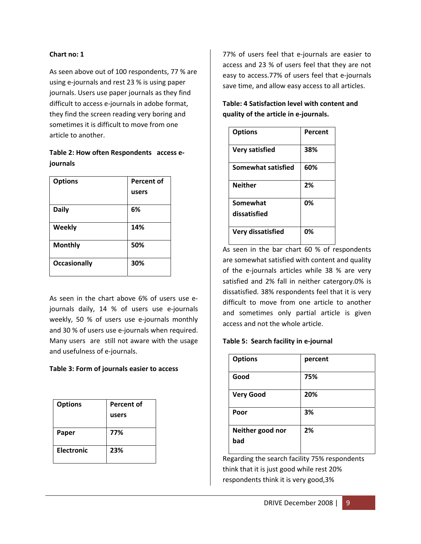# **Chart no: 1**

As seen above out of 100 respondents, 77 % are using e‐journals and rest 23 % is using paper journals. Users use paper journals as they find difficult to access e‐journals in adobe format, they find the screen reading very boring and sometimes it is difficult to move from one article to another.

# **Table 2: How often Respondents access e‐ journals**

| <b>Options</b>      | Percent of |
|---------------------|------------|
|                     | users      |
| <b>Daily</b>        | 6%         |
| <b>Weekly</b>       | 14%        |
| <b>Monthly</b>      | 50%        |
| <b>Occasionally</b> | 30%        |

As seen in the chart above 6% of users use e‐ journals daily, 14 % of users use e‐journals weekly, 50 % of users use e‐journals monthly and 30 % of users use e‐journals when required. Many users are still not aware with the usage and usefulness of e‐journals.

# **Table 3: Form of journals easier to access**

| <b>Options</b>    | Percent of |
|-------------------|------------|
|                   | users      |
|                   |            |
| Paper             | 77%        |
|                   |            |
| <b>Electronic</b> | 23%        |
|                   |            |

77% of users feel that e‐journals are easier to access and 23 % of users feel that they are not easy to access.77% of users feel that e‐journals save time, and allow easy access to all articles.

| Table: 4 Satisfaction level with content and |
|----------------------------------------------|
| quality of the article in e-journals.        |

| <b>Options</b>            | Percent |
|---------------------------|---------|
| <b>Very satisfied</b>     | 38%     |
| <b>Somewhat satisfied</b> | 60%     |
| <b>Neither</b>            | 2%      |
| Somewhat                  | 0%      |
| dissatisfied              |         |
| <b>Very dissatisfied</b>  | 0%      |

As seen in the bar chart 60 % of respondents are somewhat satisfied with content and quality of the e‐journals articles while 38 % are very satisfied and 2% fall in neither catergory.0% is dissatisfied. 38% respondents feel that it is very difficult to move from one article to another and sometimes only partial article is given access and not the whole article.

# **Table 5: Search facility in e‐journal**

| <b>Options</b>          | percent |
|-------------------------|---------|
| Good                    | 75%     |
| <b>Very Good</b>        | 20%     |
| Poor                    | 3%      |
| Neither good nor<br>bad | 2%      |

Regarding the search facility 75% respondents think that it is just good while rest 20% respondents think it is very good,3%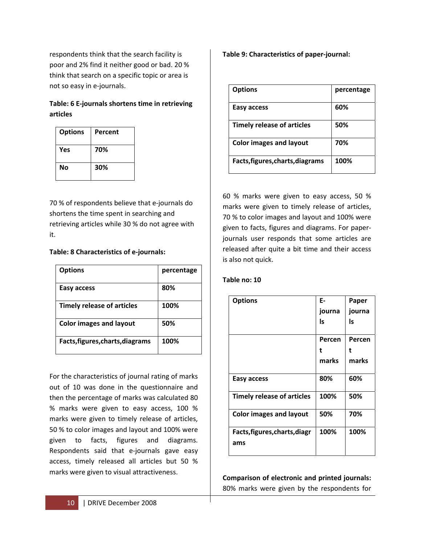respondents think that the search facility is poor and 2% find it neither good or bad. 20 % think that search on a specific topic or area is not so easy in e‐journals.

# **Table: 6 E‐journals shortens time in retrieving articles**

| <b>Options</b> | Percent |
|----------------|---------|
| Yes            | 70%     |
| Νo             | 30%     |

70 % of respondents believe that e‐journals do shortens the time spent in searching and retrieving articles while 30 % do not agree with it.

# **Table: 8 Characteristics of e‐journals:**

| <b>Options</b>                    | percentage |
|-----------------------------------|------------|
| Easy access                       | 80%        |
| <b>Timely release of articles</b> | 100%       |
| <b>Color images and layout</b>    | 50%        |
| Facts, figures, charts, diagrams  | 100%       |

For the characteristics of journal rating of marks out of 10 was done in the questionnaire and then the percentage of marks was calculated 80 % marks were given to easy access, 100 % marks were given to timely release of articles, 50 % to color images and layout and 100% were given to facts, figures and diagrams. Respondents said that e‐journals gave easy access, timely released all articles but 50 % marks were given to visual attractiveness.

**Table 9: Characteristics of paper‐journal:**

| <b>Options</b>                    | percentage |
|-----------------------------------|------------|
| Easy access                       | 60%        |
| <b>Timely release of articles</b> | 50%        |
| <b>Color images and layout</b>    | 70%        |
| Facts, figures, charts, diagrams  | 100%       |

60 % marks were given to easy access, 50 % marks were given to timely release of articles, 70 % to color images and layout and 100% were given to facts, figures and diagrams. For paper‐ journals user responds that some articles are released after quite a bit time and their access is also not quick.

# **Table no: 10**

| <b>Options</b>                    | Е-     | Paper  |
|-----------------------------------|--------|--------|
|                                   | journa | journa |
|                                   | ls     | ls     |
|                                   |        |        |
|                                   | Percen | Percen |
|                                   | t      | t      |
|                                   | marks  | marks  |
|                                   |        |        |
| Easy access                       | 80%    | 60%    |
| <b>Timely release of articles</b> | 100%   | 50%    |
|                                   |        |        |
| <b>Color images and layout</b>    | 50%    | 70%    |
|                                   |        |        |
| Facts, figures, charts, diagr     | 100%   | 100%   |
| ams                               |        |        |
|                                   |        |        |

**Comparison of electronic and printed journals:** 80% marks were given by the respondents for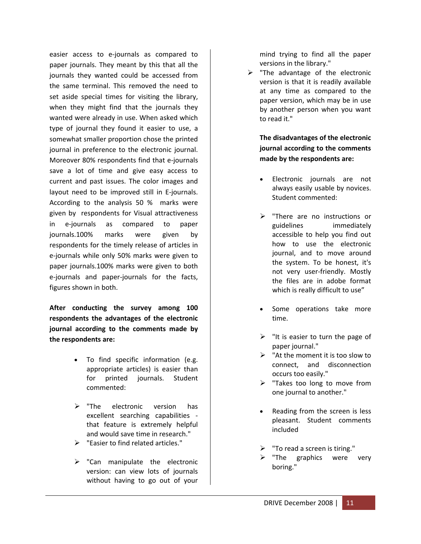easier access to e‐journals as compared to paper journals. They meant by this that all the journals they wanted could be accessed from the same terminal. This removed the need to set aside special times for visiting the library, when they might find that the journals they wanted were already in use. When asked which type of journal they found it easier to use, a somewhat smaller proportion chose the printed journal in preference to the electronic journal. Moreover 80% respondents find that e‐journals save a lot of time and give easy access to current and past issues. The color images and layout need to be improved still in E‐journals. According to the analysis 50 % marks were given by respondents for Visual attractiveness in e‐journals as compared to paper journals.100% marks were given by respondents for the timely release of articles in e‐journals while only 50% marks were given to paper journals.100% marks were given to both e‐journals and paper‐journals for the facts, figures shown in both.

**After conducting the survey among 100 respondents the advantages of the electronic journal according to the comments made by the respondents are:**

- To find specific information (e.g. appropriate articles) is easier than for printed journals. Student commented:
- $\triangleright$  "The electronic version has excellent searching capabilities ‐ that feature is extremely helpful and would save time in research."
- ¾ "Easier to find related articles."
- $\triangleright$  "Can manipulate the electronic version: can view lots of journals without having to go out of your

mind trying to find all the paper versions in the library."

 $\triangleright$  "The advantage of the electronic version is that it is readily available at any time as compared to the paper version, which may be in use by another person when you want to read it."

> **The disadvantages of the electronic journal according to the comments made by the respondents are:**

- Electronic journals are not always easily usable by novices. Student commented:
- ¾ "There are no instructions or guidelines immediately accessible to help you find out how to use the electronic journal, and to move around the system. To be honest, it's not very user‐friendly. Mostly the files are in adobe format which is really difficult to use"
- Some operations take more time.
- $\triangleright$  "It is easier to turn the page of paper journal."
- $\triangleright$  "At the moment it is too slow to connect, and disconnection occurs too easily."
- $\triangleright$  "Takes too long to move from one journal to another."
- Reading from the screen is less pleasant. Student comments included
- "To read a screen is tiring."
- ¾ "The graphics were very boring."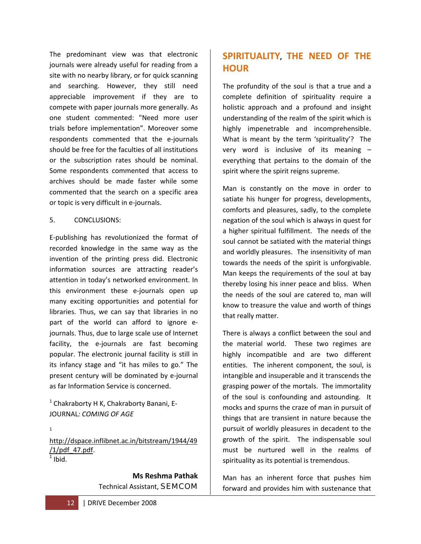The predominant view was that electronic journals were already useful for reading from a site with no nearby library, or for quick scanning and searching. However, they still need appreciable improvement if they are to compete with paper journals more generally. As one student commented: "Need more user trials before implementation". Moreover some respondents commented that the e‐journals should be free for the faculties of all institutions or the subscription rates should be nominal. Some respondents commented that access to archives should be made faster while some commented that the search on a specific area or topic is very difficult in e‐journals.

# 5. CONCLUSIONS:

E‐publishing has revolutionized the format of recorded knowledge in the same way as the invention of the printing press did. Electronic information sources are attracting reader's attention in today's networked environment. In this environment these e‐journals open up many exciting opportunities and potential for libraries. Thus, we can say that libraries in no part of the world can afford to ignore e‐ journals. Thus, due to large scale use of Internet facility, the e-journals are fast becoming popular. The electronic journal facility is still in its infancy stage and "it has miles to go." The present century will be dominated by e‐journal as far Information Service is concerned.

 $1$  Chakraborty H K, Chakraborty Banani, E-JOURNAL*: COMING OF AGE*

1

[http://dspace.inflibnet.ac.in/bitstream/1944/49](http://dspace.inflibnet.ac.in/bitstream/1944/49/1/pdf_47.pdf) [/1/pdf\\_47.pdf](http://dspace.inflibnet.ac.in/bitstream/1944/49/1/pdf_47.pdf).  $<sup>1</sup>$  Ibid.</sup>

> **Ms Reshma Pathak** Technical Assistant, SEMCOM

# **SPIRITUALITY, THE NEED OF THE HOUR**

The profundity of the soul is that a true and a complete definition of spirituality require a holistic approach and a profound and insight understanding of the realm of the spirit which is highly impenetrable and incomprehensible. What is meant by the term 'spirituality'? The very word is inclusive of its meaning – everything that pertains to the domain of the spirit where the spirit reigns supreme.

Man is constantly on the move in order to satiate his hunger for progress, developments, comforts and pleasures, sadly, to the complete negation of the soul which is always in quest for a higher spiritual fulfillment. The needs of the soul cannot be satiated with the material things and worldly pleasures. The insensitivity of man towards the needs of the spirit is unforgivable. Man keeps the requirements of the soul at bay thereby losing his inner peace and bliss. When the needs of the soul are catered to, man will know to treasure the value and worth of things that really matter.

There is always a conflict between the soul and the material world. These two regimes are highly incompatible and are two different entities. The inherent component, the soul, is intangible and insuperable and it transcends the grasping power of the mortals. The immortality of the soul is confounding and astounding. It mocks and spurns the craze of man in pursuit of things that are transient in nature because the pursuit of worldly pleasures in decadent to the growth of the spirit. The indispensable soul must be nurtured well in the realms of spirituality as its potential is tremendous.

Man has an inherent force that pushes him forward and provides him with sustenance that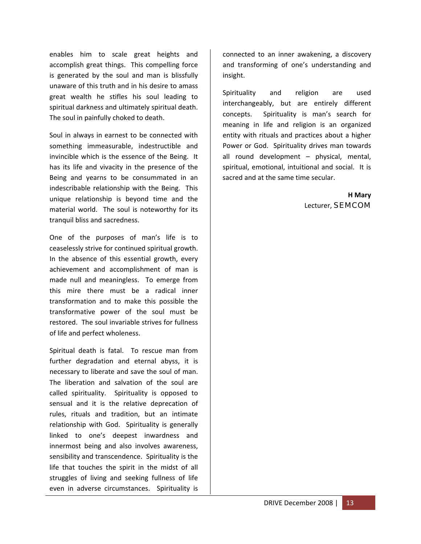enables him to scale great heights and accomplish great things. This compelling force is generated by the soul and man is blissfully unaware of this truth and in his desire to amass great wealth he stifles his soul leading to spiritual darkness and ultimately spiritual death. The soul in painfully choked to death.

Soul in always in earnest to be connected with something immeasurable, indestructible and invincible which is the essence of the Being. It has its life and vivacity in the presence of the Being and yearns to be consummated in an indescribable relationship with the Being. This unique relationship is beyond time and the material world. The soul is noteworthy for its tranquil bliss and sacredness.

One of the purposes of man's life is to ceaselessly strive for continued spiritual growth. In the absence of this essential growth, every achievement and accomplishment of man is made null and meaningless. To emerge from this mire there must be a radical inner transformation and to make this possible the transformative power of the soul must be restored. The soul invariable strives for fullness of life and perfect wholeness.

Spiritual death is fatal. To rescue man from further degradation and eternal abyss, it is necessary to liberate and save the soul of man. The liberation and salvation of the soul are called spirituality. Spirituality is opposed to sensual and it is the relative deprecation of rules, rituals and tradition, but an intimate relationship with God. Spirituality is generally linked to one's deepest inwardness and innermost being and also involves awareness, sensibility and transcendence. Spirituality is the life that touches the spirit in the midst of all struggles of living and seeking fullness of life even in adverse circumstances. Spirituality is

connected to an inner awakening, a discovery and transforming of one's understanding and insight.

Spirituality and religion are used interchangeably, but are entirely different concepts. Spirituality is man's search for meaning in life and religion is an organized entity with rituals and practices about a higher Power or God. Spirituality drives man towards all round development – physical, mental, spiritual, emotional, intuitional and social. It is sacred and at the same time secular.

> **H Mary** Lecturer, SEMCOM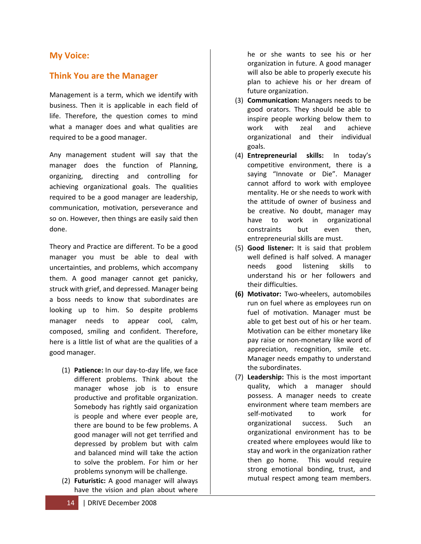# **My Voice:**

# **Think You are the Manager**

Management is a term, which we identify with business. Then it is applicable in each field of life. Therefore, the question comes to mind what a manager does and what qualities are required to be a good manager.

Any management student will say that the manager does the function of Planning, organizing, directing and controlling for achieving organizational goals. The qualities required to be a good manager are leadership, communication, motivation, perseverance and so on. However, then things are easily said then done.

Theory and Practice are different. To be a good manager you must be able to deal with uncertainties, and problems, which accompany them. A good manager cannot get panicky, struck with grief, and depressed. Manager being a boss needs to know that subordinates are looking up to him. So despite problems manager needs to appear cool, calm, composed, smiling and confident. Therefore, here is a little list of what are the qualities of a good manager.

- (1) **Patience:** In our day‐to‐day life, we face different problems. Think about the manager whose job is to ensure productive and profitable organization. Somebody has rightly said organization is people and where ever people are, there are bound to be few problems. A good manager will not get terrified and depressed by problem but with calm and balanced mind will take the action to solve the problem. For him or her problems synonym will be challenge.
- (2) **Futuristic:** A good manager will always have the vision and plan about where

he or she wants to see his or her organization in future. A good manager will also be able to properly execute his plan to achieve his or her dream of future organization.

- (3) **Communication:** Managers needs to be good orators. They should be able to inspire people working below them to work with zeal and achieve organizational and their individual goals.
- (4) **Entrepreneurial skills:** In today's competitive environment, there is a saying "Innovate or Die". Manager cannot afford to work with employee mentality. He or she needs to work with the attitude of owner of business and be creative. No doubt, manager may have to work in organizational constraints but even then, entrepreneurial skills are must.
- (5) **Good listener:** It is said that problem well defined is half solved. A manager needs good listening skills to understand his or her followers and their difficulties.
- **(6) Motivator:** Two‐wheelers, automobiles run on fuel where as employees run on fuel of motivation. Manager must be able to get best out of his or her team. Motivation can be either monetary like pay raise or non‐monetary like word of appreciation, recognition, smile etc. Manager needs empathy to understand the subordinates.
- (7) **Leadership:** This is the most important quality, which a manager should possess. A manager needs to create environment where team members are self‐motivated to work for organizational success. Such an organizational environment has to be created where employees would like to stay and work in the organization rather then go home. This would require strong emotional bonding, trust, and mutual respect among team members.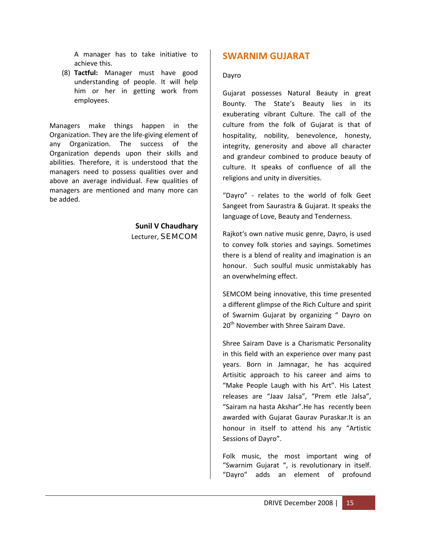A manager has to take initiative to achieve this.

(8) **Tactful:** Manager must have good understanding of people. It will help him or her in getting work from employees.

Managers make things happen in the Organization. They are the life‐giving element of any Organization. The success of the Organization depends upon their skills and abilities. Therefore, it is understood that the managers need to possess qualities over and above an average individual. Few qualities of managers are mentioned and many more can be added.

# **Sunil V Chaudhary** Lecturer, SEMCOM

# **SWARNIM GUJARAT**

### Dayro

Gujarat possesses Natural Beauty in great Bounty. The State's Beauty lies in its exuberating vibrant Culture. The call of the culture from the folk of Gujarat is that of hospitality, nobility, benevolence, honesty, integrity, generosity and above all character and grandeur combined to produce beauty of culture. It speaks of confluence of all the religions and unity in diversities.

"Dayro" ‐ relates to the world of folk Geet Sangeet from Saurastra & Gujarat. It speaks the language of Love, Beauty and Tenderness.

Rajkot's own native music genre, Dayro, is used to convey folk stories and sayings. Sometimes there is a blend of reality and imagination is an honour. Such soulful music unmistakably has an overwhelming effect.

SEMCOM being innovative, this time presented a different glimpse of the Rich Culture and spirit of Swarnim Gujarat by organizing " Dayro on 20<sup>th</sup> November with Shree Sairam Dave.

Shree Sairam Dave is a Charismatic Personality in this field with an experience over many past years. Born in Jamnagar, he has acquired Artisitic approach to his career and aims to "Make People Laugh with his Art". His Latest releases are "Jaav Jalsa", "Prem etle Jalsa", "Sairam na hasta Akshar".He has recently been awarded with Gujarat Gaurav Puraskar.It is an honour in itself to attend his any "Artistic Sessions of Dayro".

Folk music, the most important wing of "Swarnim Gujarat ", is revolutionary in itself. "Dayro" adds an element of profound